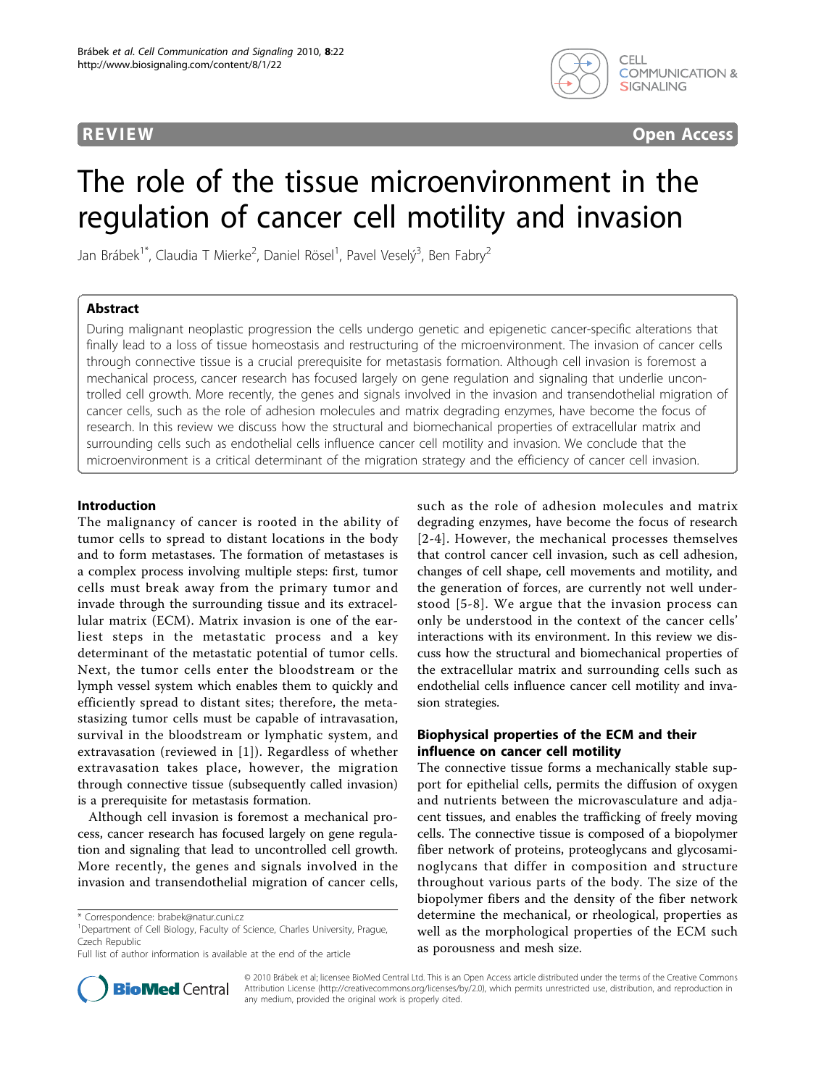

**REVIEW CONSTRUCTION CONSTRUCTION CONSTRUCTS** 

# The role of the tissue microenvironment in the regulation of cancer cell motility and invasion

Jan Brábek<sup>1\*</sup>, Claudia T Mierke<sup>2</sup>, Daniel Rösel<sup>1</sup>, Pavel Veselý<sup>3</sup>, Ben Fabry<sup>2</sup>

# Abstract

During malignant neoplastic progression the cells undergo genetic and epigenetic cancer-specific alterations that finally lead to a loss of tissue homeostasis and restructuring of the microenvironment. The invasion of cancer cells through connective tissue is a crucial prerequisite for metastasis formation. Although cell invasion is foremost a mechanical process, cancer research has focused largely on gene regulation and signaling that underlie uncontrolled cell growth. More recently, the genes and signals involved in the invasion and transendothelial migration of cancer cells, such as the role of adhesion molecules and matrix degrading enzymes, have become the focus of research. In this review we discuss how the structural and biomechanical properties of extracellular matrix and surrounding cells such as endothelial cells influence cancer cell motility and invasion. We conclude that the microenvironment is a critical determinant of the migration strategy and the efficiency of cancer cell invasion.

# Introduction

The malignancy of cancer is rooted in the ability of tumor cells to spread to distant locations in the body and to form metastases. The formation of metastases is a complex process involving multiple steps: first, tumor cells must break away from the primary tumor and invade through the surrounding tissue and its extracellular matrix (ECM). Matrix invasion is one of the earliest steps in the metastatic process and a key determinant of the metastatic potential of tumor cells. Next, the tumor cells enter the bloodstream or the lymph vessel system which enables them to quickly and efficiently spread to distant sites; therefore, the metastasizing tumor cells must be capable of intravasation, survival in the bloodstream or lymphatic system, and extravasation (reviewed in [\[1](#page-5-0)]). Regardless of whether extravasation takes place, however, the migration through connective tissue (subsequently called invasion) is a prerequisite for metastasis formation.

Although cell invasion is foremost a mechanical process, cancer research has focused largely on gene regulation and signaling that lead to uncontrolled cell growth. More recently, the genes and signals involved in the invasion and transendothelial migration of cancer cells,



# Biophysical properties of the ECM and their influence on cancer cell motility

The connective tissue forms a mechanically stable support for epithelial cells, permits the diffusion of oxygen and nutrients between the microvasculature and adjacent tissues, and enables the trafficking of freely moving cells. The connective tissue is composed of a biopolymer fiber network of proteins, proteoglycans and glycosaminoglycans that differ in composition and structure throughout various parts of the body. The size of the biopolymer fibers and the density of the fiber network determine the mechanical, or rheological, properties as well as the morphological properties of the ECM such as porousness and mesh size.



© 2010 Brábek et al; licensee BioMed Central Ltd. This is an Open Access article distributed under the terms of the Creative Commons Attribution License [\(http://creativecommons.org/licenses/by/2.0](http://creativecommons.org/licenses/by/2.0)), which permits unrestricted use, distribution, and reproduction in any medium, provided the original work is properly cited.

<sup>\*</sup> Correspondence: [brabek@natur.cuni.cz](mailto:brabek@natur.cuni.cz)

<sup>&</sup>lt;sup>1</sup>Department of Cell Biology, Faculty of Science, Charles University, Prague, Czech Republic

Full list of author information is available at the end of the article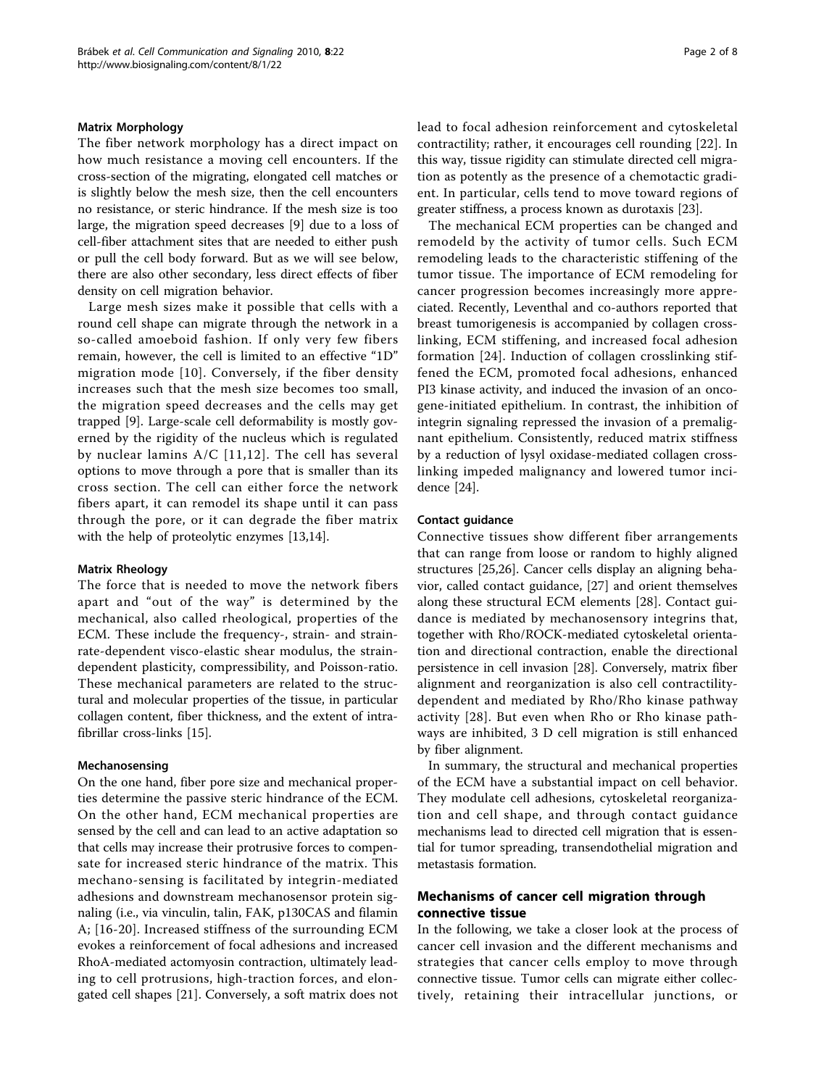#### Matrix Morphology

The fiber network morphology has a direct impact on how much resistance a moving cell encounters. If the cross-section of the migrating, elongated cell matches or is slightly below the mesh size, then the cell encounters no resistance, or steric hindrance. If the mesh size is too large, the migration speed decreases [\[9](#page-5-0)] due to a loss of cell-fiber attachment sites that are needed to either push or pull the cell body forward. But as we will see below, there are also other secondary, less direct effects of fiber density on cell migration behavior.

Large mesh sizes make it possible that cells with a round cell shape can migrate through the network in a so-called amoeboid fashion. If only very few fibers remain, however, the cell is limited to an effective "1D" migration mode [[10\]](#page-5-0). Conversely, if the fiber density increases such that the mesh size becomes too small, the migration speed decreases and the cells may get trapped [[9](#page-5-0)]. Large-scale cell deformability is mostly governed by the rigidity of the nucleus which is regulated by nuclear lamins A/C [[11,12\]](#page-5-0). The cell has several options to move through a pore that is smaller than its cross section. The cell can either force the network fibers apart, it can remodel its shape until it can pass through the pore, or it can degrade the fiber matrix with the help of proteolytic enzymes [[13,14](#page-5-0)].

#### Matrix Rheology

The force that is needed to move the network fibers apart and "out of the way" is determined by the mechanical, also called rheological, properties of the ECM. These include the frequency-, strain- and strainrate-dependent visco-elastic shear modulus, the straindependent plasticity, compressibility, and Poisson-ratio. These mechanical parameters are related to the structural and molecular properties of the tissue, in particular collagen content, fiber thickness, and the extent of intrafibrillar cross-links [\[15](#page-5-0)].

#### Mechanosensing

On the one hand, fiber pore size and mechanical properties determine the passive steric hindrance of the ECM. On the other hand, ECM mechanical properties are sensed by the cell and can lead to an active adaptation so that cells may increase their protrusive forces to compensate for increased steric hindrance of the matrix. This mechano-sensing is facilitated by integrin-mediated adhesions and downstream mechanosensor protein signaling (i.e., via vinculin, talin, FAK, p130CAS and filamin A; [[16-20\]](#page-5-0). Increased stiffness of the surrounding ECM evokes a reinforcement of focal adhesions and increased RhoA-mediated actomyosin contraction, ultimately leading to cell protrusions, high-traction forces, and elongated cell shapes [[21\]](#page-5-0). Conversely, a soft matrix does not lead to focal adhesion reinforcement and cytoskeletal contractility; rather, it encourages cell rounding [\[22](#page-5-0)]. In this way, tissue rigidity can stimulate directed cell migration as potently as the presence of a chemotactic gradient. In particular, cells tend to move toward regions of greater stiffness, a process known as durotaxis [[23\]](#page-5-0).

The mechanical ECM properties can be changed and remodeld by the activity of tumor cells. Such ECM remodeling leads to the characteristic stiffening of the tumor tissue. The importance of ECM remodeling for cancer progression becomes increasingly more appreciated. Recently, Leventhal and co-authors reported that breast tumorigenesis is accompanied by collagen crosslinking, ECM stiffening, and increased focal adhesion formation [\[24\]](#page-6-0). Induction of collagen crosslinking stiffened the ECM, promoted focal adhesions, enhanced PI3 kinase activity, and induced the invasion of an oncogene-initiated epithelium. In contrast, the inhibition of integrin signaling repressed the invasion of a premalignant epithelium. Consistently, reduced matrix stiffness by a reduction of lysyl oxidase-mediated collagen crosslinking impeded malignancy and lowered tumor incidence [[24\]](#page-6-0).

#### Contact guidance

Connective tissues show different fiber arrangements that can range from loose or random to highly aligned structures [[25,26\]](#page-6-0). Cancer cells display an aligning behavior, called contact guidance, [[27](#page-6-0)] and orient themselves along these structural ECM elements [\[28](#page-6-0)]. Contact guidance is mediated by mechanosensory integrins that, together with Rho/ROCK-mediated cytoskeletal orientation and directional contraction, enable the directional persistence in cell invasion [[28](#page-6-0)]. Conversely, matrix fiber alignment and reorganization is also cell contractilitydependent and mediated by Rho/Rho kinase pathway activity [[28](#page-6-0)]. But even when Rho or Rho kinase pathways are inhibited, 3 D cell migration is still enhanced by fiber alignment.

In summary, the structural and mechanical properties of the ECM have a substantial impact on cell behavior. They modulate cell adhesions, cytoskeletal reorganization and cell shape, and through contact guidance mechanisms lead to directed cell migration that is essential for tumor spreading, transendothelial migration and metastasis formation.

# Mechanisms of cancer cell migration through connective tissue

In the following, we take a closer look at the process of cancer cell invasion and the different mechanisms and strategies that cancer cells employ to move through connective tissue. Tumor cells can migrate either collectively, retaining their intracellular junctions, or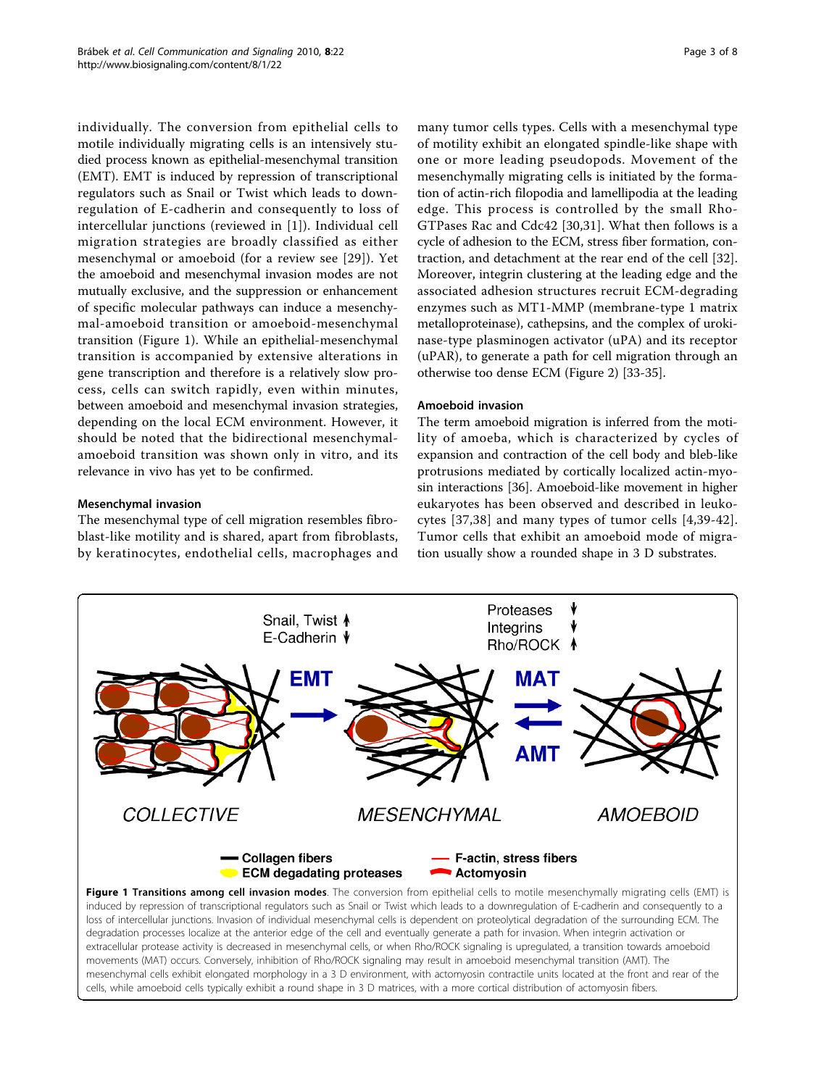individually. The conversion from epithelial cells to motile individually migrating cells is an intensively studied process known as epithelial-mesenchymal transition (EMT). EMT is induced by repression of transcriptional regulators such as Snail or Twist which leads to downregulation of E-cadherin and consequently to loss of intercellular junctions (reviewed in [[1\]](#page-5-0)). Individual cell migration strategies are broadly classified as either mesenchymal or amoeboid (for a review see [[29\]](#page-6-0)). Yet the amoeboid and mesenchymal invasion modes are not mutually exclusive, and the suppression or enhancement of specific molecular pathways can induce a mesenchymal-amoeboid transition or amoeboid-mesenchymal transition (Figure 1). While an epithelial-mesenchymal transition is accompanied by extensive alterations in gene transcription and therefore is a relatively slow process, cells can switch rapidly, even within minutes, between amoeboid and mesenchymal invasion strategies, depending on the local ECM environment. However, it should be noted that the bidirectional mesenchymalamoeboid transition was shown only in vitro, and its relevance in vivo has yet to be confirmed.

# Mesenchymal invasion

The mesenchymal type of cell migration resembles fibroblast-like motility and is shared, apart from fibroblasts, by keratinocytes, endothelial cells, macrophages and many tumor cells types. Cells with a mesenchymal type of motility exhibit an elongated spindle-like shape with one or more leading pseudopods. Movement of the mesenchymally migrating cells is initiated by the formation of actin-rich filopodia and lamellipodia at the leading edge. This process is controlled by the small Rho-GTPases Rac and Cdc42 [\[30](#page-6-0),[31\]](#page-6-0). What then follows is a cycle of adhesion to the ECM, stress fiber formation, contraction, and detachment at the rear end of the cell [\[32](#page-6-0)]. Moreover, integrin clustering at the leading edge and the associated adhesion structures recruit ECM-degrading enzymes such as MT1-MMP (membrane-type 1 matrix metalloproteinase), cathepsins, and the complex of urokinase-type plasminogen activator (uPA) and its receptor (uPAR), to generate a path for cell migration through an otherwise too dense ECM (Figure [2\)](#page-3-0) [[33-35\]](#page-6-0).

# Amoeboid invasion

The term amoeboid migration is inferred from the motility of amoeba, which is characterized by cycles of expansion and contraction of the cell body and bleb-like protrusions mediated by cortically localized actin-myosin interactions [[36](#page-6-0)]. Amoeboid-like movement in higher eukaryotes has been observed and described in leukocytes [[37,38\]](#page-6-0) and many types of tumor cells [\[4](#page-5-0),[39](#page-6-0)-[42](#page-6-0)]. Tumor cells that exhibit an amoeboid mode of migration usually show a rounded shape in 3 D substrates.

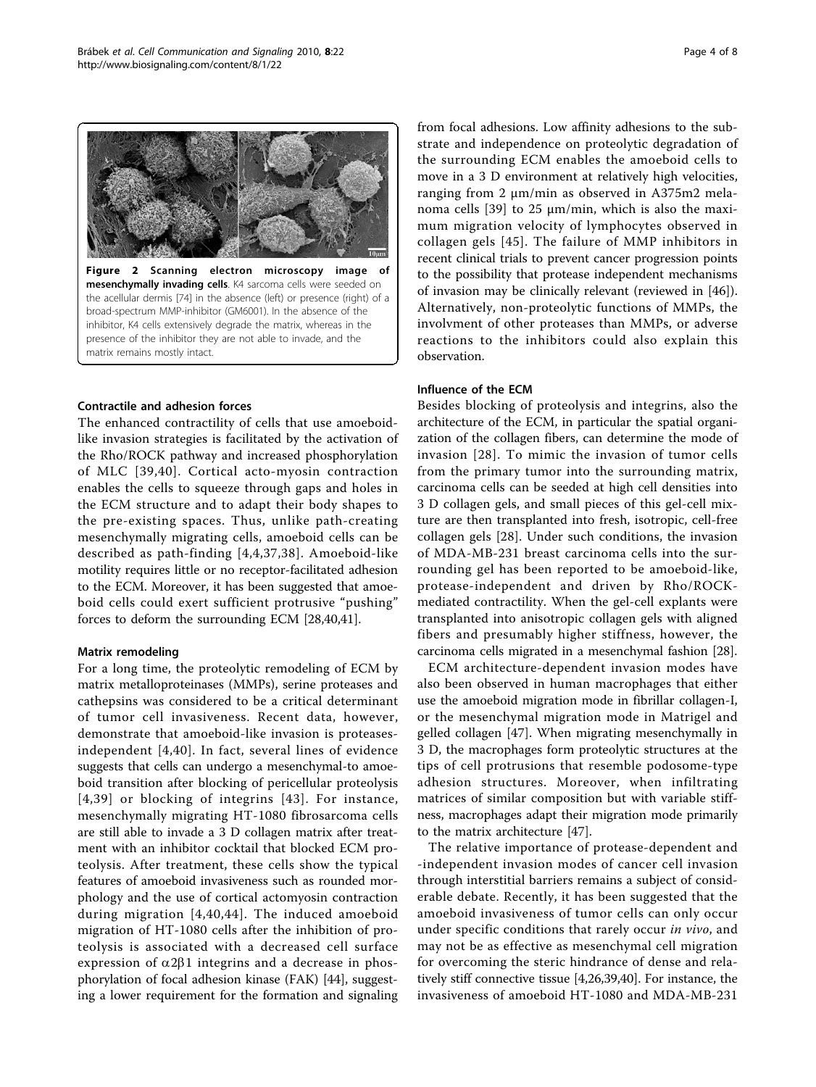<span id="page-3-0"></span>

Figure 2 Scanning electron microscopy image of mesenchymally invading cells. K4 sarcoma cells were seeded on the acellular dermis [[74](#page-7-0)] in the absence (left) or presence (right) of a broad-spectrum MMP-inhibitor (GM6001). In the absence of the inhibitor, K4 cells extensively degrade the matrix, whereas in the presence of the inhibitor they are not able to invade, and the matrix remains mostly intact.

### Contractile and adhesion forces

The enhanced contractility of cells that use amoeboidlike invasion strategies is facilitated by the activation of the Rho/ROCK pathway and increased phosphorylation of MLC [[39,40](#page-6-0)]. Cortical acto-myosin contraction enables the cells to squeeze through gaps and holes in the ECM structure and to adapt their body shapes to the pre-existing spaces. Thus, unlike path-creating mesenchymally migrating cells, amoeboid cells can be described as path-finding [[4](#page-5-0),[4,](#page-5-0)[37,38\]](#page-6-0). Amoeboid-like motility requires little or no receptor-facilitated adhesion to the ECM. Moreover, it has been suggested that amoeboid cells could exert sufficient protrusive "pushing" forces to deform the surrounding ECM [[28,40,41](#page-6-0)].

#### Matrix remodeling

For a long time, the proteolytic remodeling of ECM by matrix metalloproteinases (MMPs), serine proteases and cathepsins was considered to be a critical determinant of tumor cell invasiveness. Recent data, however, demonstrate that amoeboid-like invasion is proteasesindependent [[4,](#page-5-0)[40\]](#page-6-0). In fact, several lines of evidence suggests that cells can undergo a mesenchymal-to amoeboid transition after blocking of pericellular proteolysis [[4,](#page-5-0)[39](#page-6-0)] or blocking of integrins [[43](#page-6-0)]. For instance, mesenchymally migrating HT-1080 fibrosarcoma cells are still able to invade a 3 D collagen matrix after treatment with an inhibitor cocktail that blocked ECM proteolysis. After treatment, these cells show the typical features of amoeboid invasiveness such as rounded morphology and the use of cortical actomyosin contraction during migration [[4,](#page-5-0)[40](#page-6-0),[44\]](#page-6-0). The induced amoeboid migration of HT-1080 cells after the inhibition of proteolysis is associated with a decreased cell surface expression of  $\alpha$ 2 $\beta$ 1 integrins and a decrease in phosphorylation of focal adhesion kinase (FAK) [\[44\]](#page-6-0), suggesting a lower requirement for the formation and signaling from focal adhesions. Low affinity adhesions to the substrate and independence on proteolytic degradation of the surrounding ECM enables the amoeboid cells to move in a 3 D environment at relatively high velocities, ranging from 2 μm/min as observed in A375m2 mela-noma cells [[39](#page-6-0)] to 25 μm/min, which is also the maximum migration velocity of lymphocytes observed in collagen gels [[45\]](#page-6-0). The failure of MMP inhibitors in recent clinical trials to prevent cancer progression points to the possibility that protease independent mechanisms of invasion may be clinically relevant (reviewed in [\[46\]](#page-6-0)). Alternatively, non-proteolytic functions of MMPs, the involvment of other proteases than MMPs, or adverse reactions to the inhibitors could also explain this observation.

## Influence of the ECM

Besides blocking of proteolysis and integrins, also the architecture of the ECM, in particular the spatial organization of the collagen fibers, can determine the mode of invasion [[28\]](#page-6-0). To mimic the invasion of tumor cells from the primary tumor into the surrounding matrix, carcinoma cells can be seeded at high cell densities into 3 D collagen gels, and small pieces of this gel-cell mixture are then transplanted into fresh, isotropic, cell-free collagen gels [\[28\]](#page-6-0). Under such conditions, the invasion of MDA-MB-231 breast carcinoma cells into the surrounding gel has been reported to be amoeboid-like, protease-independent and driven by Rho/ROCKmediated contractility. When the gel-cell explants were transplanted into anisotropic collagen gels with aligned fibers and presumably higher stiffness, however, the carcinoma cells migrated in a mesenchymal fashion [\[28](#page-6-0)].

ECM architecture-dependent invasion modes have also been observed in human macrophages that either use the amoeboid migration mode in fibrillar collagen-I, or the mesenchymal migration mode in Matrigel and gelled collagen [\[47\]](#page-6-0). When migrating mesenchymally in 3 D, the macrophages form proteolytic structures at the tips of cell protrusions that resemble podosome-type adhesion structures. Moreover, when infiltrating matrices of similar composition but with variable stiffness, macrophages adapt their migration mode primarily to the matrix architecture [\[47\]](#page-6-0).

The relative importance of protease-dependent and -independent invasion modes of cancer cell invasion through interstitial barriers remains a subject of considerable debate. Recently, it has been suggested that the amoeboid invasiveness of tumor cells can only occur under specific conditions that rarely occur in vivo, and may not be as effective as mesenchymal cell migration for overcoming the steric hindrance of dense and relatively stiff connective tissue [\[4](#page-5-0)[,26,39,40\]](#page-6-0). For instance, the invasiveness of amoeboid HT-1080 and MDA-MB-231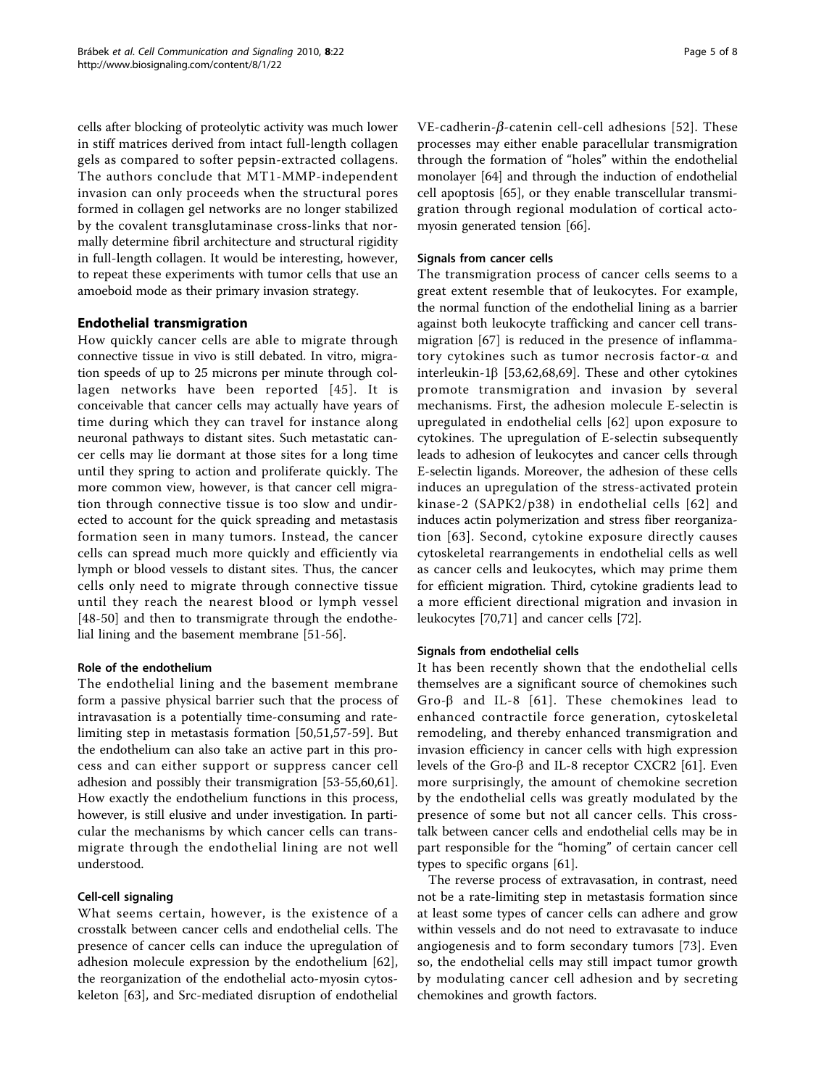cells after blocking of proteolytic activity was much lower in stiff matrices derived from intact full-length collagen gels as compared to softer pepsin-extracted collagens. The authors conclude that MT1-MMP-independent invasion can only proceeds when the structural pores formed in collagen gel networks are no longer stabilized by the covalent transglutaminase cross-links that normally determine fibril architecture and structural rigidity in full-length collagen. It would be interesting, however, to repeat these experiments with tumor cells that use an amoeboid mode as their primary invasion strategy.

# Endothelial transmigration

How quickly cancer cells are able to migrate through connective tissue in vivo is still debated. In vitro, migration speeds of up to 25 microns per minute through collagen networks have been reported [[45\]](#page-6-0). It is conceivable that cancer cells may actually have years of time during which they can travel for instance along neuronal pathways to distant sites. Such metastatic cancer cells may lie dormant at those sites for a long time until they spring to action and proliferate quickly. The more common view, however, is that cancer cell migration through connective tissue is too slow and undirected to account for the quick spreading and metastasis formation seen in many tumors. Instead, the cancer cells can spread much more quickly and efficiently via lymph or blood vessels to distant sites. Thus, the cancer cells only need to migrate through connective tissue until they reach the nearest blood or lymph vessel [[48](#page-6-0)-[50\]](#page-6-0) and then to transmigrate through the endothelial lining and the basement membrane [\[51](#page-6-0)-[56](#page-6-0)].

# Role of the endothelium

The endothelial lining and the basement membrane form a passive physical barrier such that the process of intravasation is a potentially time-consuming and ratelimiting step in metastasis formation [[50,51,57](#page-6-0)-[59](#page-6-0)]. But the endothelium can also take an active part in this process and can either support or suppress cancer cell adhesion and possibly their transmigration [\[53](#page-6-0)-[55](#page-6-0),[60](#page-6-0),[61](#page-6-0)]. How exactly the endothelium functions in this process, however, is still elusive and under investigation. In particular the mechanisms by which cancer cells can transmigrate through the endothelial lining are not well understood.

# Cell-cell signaling

What seems certain, however, is the existence of a crosstalk between cancer cells and endothelial cells. The presence of cancer cells can induce the upregulation of adhesion molecule expression by the endothelium [[62](#page-6-0)], the reorganization of the endothelial acto-myosin cytoskeleton [\[63](#page-6-0)], and Src-mediated disruption of endothelial

VE-cadherin- $\beta$ -catenin cell-cell adhesions [\[52\]](#page-6-0). These processes may either enable paracellular transmigration through the formation of "holes" within the endothelial monolayer [\[64\]](#page-6-0) and through the induction of endothelial cell apoptosis [[65](#page-6-0)], or they enable transcellular transmigration through regional modulation of cortical actomyosin generated tension [\[66\]](#page-6-0).

# Signals from cancer cells

The transmigration process of cancer cells seems to a great extent resemble that of leukocytes. For example, the normal function of the endothelial lining as a barrier against both leukocyte trafficking and cancer cell transmigration [\[67](#page-6-0)] is reduced in the presence of inflammatory cytokines such as tumor necrosis factor- $\alpha$  and interleukin-1b [[53,62](#page-6-0),[68,](#page-6-0)[69\]](#page-7-0). These and other cytokines promote transmigration and invasion by several mechanisms. First, the adhesion molecule E-selectin is upregulated in endothelial cells [\[62](#page-6-0)] upon exposure to cytokines. The upregulation of E-selectin subsequently leads to adhesion of leukocytes and cancer cells through E-selectin ligands. Moreover, the adhesion of these cells induces an upregulation of the stress-activated protein kinase-2 (SAPK2/p38) in endothelial cells [[62](#page-6-0)] and induces actin polymerization and stress fiber reorganization [[63](#page-6-0)]. Second, cytokine exposure directly causes cytoskeletal rearrangements in endothelial cells as well as cancer cells and leukocytes, which may prime them for efficient migration. Third, cytokine gradients lead to a more efficient directional migration and invasion in leukocytes [\[70,71\]](#page-7-0) and cancer cells [\[72](#page-7-0)].

# Signals from endothelial cells

It has been recently shown that the endothelial cells themselves are a significant source of chemokines such Gro- $\beta$  and IL-8 [[61\]](#page-6-0). These chemokines lead to enhanced contractile force generation, cytoskeletal remodeling, and thereby enhanced transmigration and invasion efficiency in cancer cells with high expression levels of the Gro- $\beta$  and IL-8 receptor CXCR2 [\[61](#page-6-0)]. Even more surprisingly, the amount of chemokine secretion by the endothelial cells was greatly modulated by the presence of some but not all cancer cells. This crosstalk between cancer cells and endothelial cells may be in part responsible for the "homing" of certain cancer cell types to specific organs [[61\]](#page-6-0).

The reverse process of extravasation, in contrast, need not be a rate-limiting step in metastasis formation since at least some types of cancer cells can adhere and grow within vessels and do not need to extravasate to induce angiogenesis and to form secondary tumors [[73](#page-7-0)]. Even so, the endothelial cells may still impact tumor growth by modulating cancer cell adhesion and by secreting chemokines and growth factors.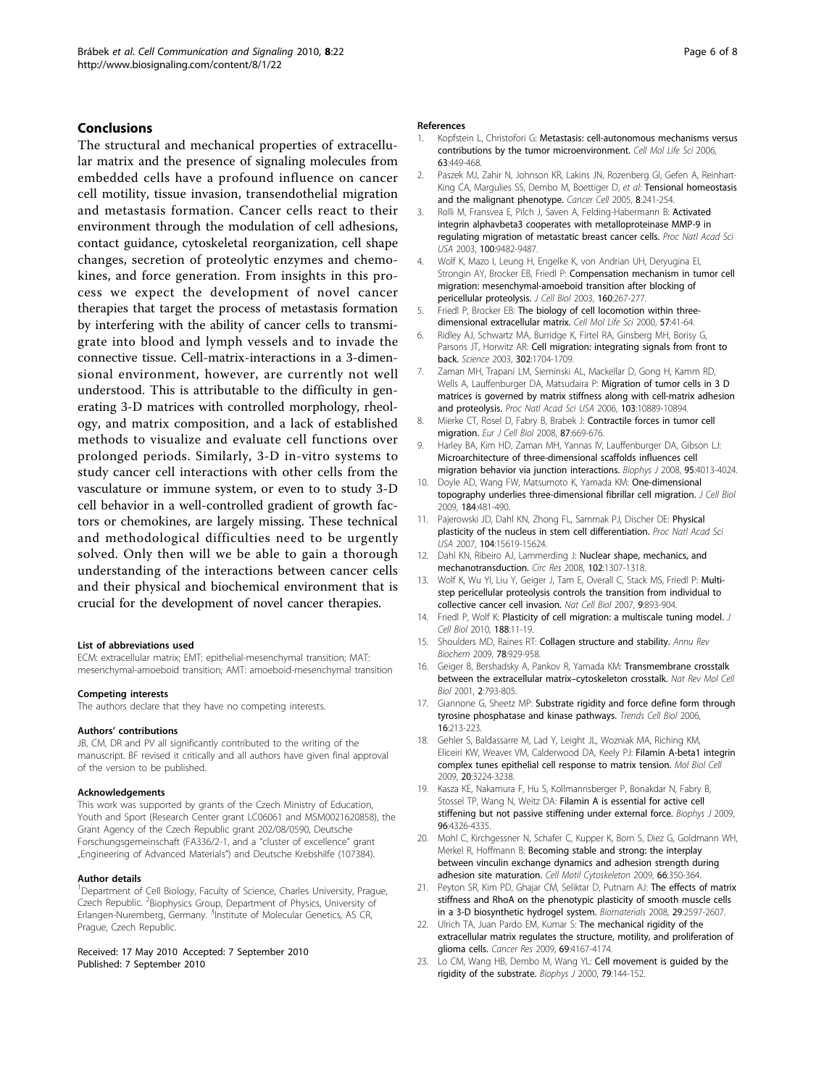#### <span id="page-5-0"></span>Conclusions

The structural and mechanical properties of extracellular matrix and the presence of signaling molecules from embedded cells have a profound influence on cancer cell motility, tissue invasion, transendothelial migration and metastasis formation. Cancer cells react to their environment through the modulation of cell adhesions, contact guidance, cytoskeletal reorganization, cell shape changes, secretion of proteolytic enzymes and chemokines, and force generation. From insights in this process we expect the development of novel cancer therapies that target the process of metastasis formation by interfering with the ability of cancer cells to transmigrate into blood and lymph vessels and to invade the connective tissue. Cell-matrix-interactions in a 3-dimensional environment, however, are currently not well understood. This is attributable to the difficulty in generating 3-D matrices with controlled morphology, rheology, and matrix composition, and a lack of established methods to visualize and evaluate cell functions over prolonged periods. Similarly, 3-D in-vitro systems to study cancer cell interactions with other cells from the vasculature or immune system, or even to to study 3-D cell behavior in a well-controlled gradient of growth factors or chemokines, are largely missing. These technical and methodological difficulties need to be urgently solved. Only then will we be able to gain a thorough understanding of the interactions between cancer cells and their physical and biochemical environment that is crucial for the development of novel cancer therapies.

#### List of abbreviations used

ECM: extracellular matrix; EMT: epithelial-mesenchymal transition; MAT: mesenchymal-amoeboid transition; AMT: amoeboid-mesenchymal transition

#### Competing interests

The authors declare that they have no competing interests.

#### Authors' contributions

JB, CM, DR and PV all significantly contributed to the writing of the manuscript. BF revised it critically and all authors have given final approval of the version to be published.

#### Acknowledgements

This work was supported by grants of the Czech Ministry of Education, Youth and Sport (Research Center grant LC06061 and MSM0021620858), the Grant Agency of the Czech Republic grant 202/08/0590, Deutsche Forschungsgemeinschaft (FA336/2-1, and a "cluster of excellence" grant "Engineering of Advanced Materials") and Deutsche Krebshilfe (107384).

#### Author details

<sup>1</sup>Department of Cell Biology, Faculty of Science, Charles University, Prague, Czech Republic. <sup>2</sup>Biophysics Group, Department of Physics, University of Erlangen-Nuremberg, Germany. <sup>3</sup>Institute of Molecular Genetics, AS CR, Prague, Czech Republic.

Received: 17 May 2010 Accepted: 7 September 2010 Published: 7 September 2010

#### References

- 1. Kopfstein L, Christofori G: [Metastasis: cell-autonomous mechanisms versus](http://www.ncbi.nlm.nih.gov/pubmed/16416030?dopt=Abstract) [contributions by the tumor microenvironment.](http://www.ncbi.nlm.nih.gov/pubmed/16416030?dopt=Abstract) Cell Mol Life Sci 2006, 63:449-468.
- 2. Paszek MJ, Zahir N, Johnson KR, Lakins JN, Rozenberg GI, Gefen A, Reinhart-King CA, Margulies SS, Dembo M, Boettiger D, et al: [Tensional homeostasis](http://www.ncbi.nlm.nih.gov/pubmed/16169468?dopt=Abstract) [and the malignant phenotype.](http://www.ncbi.nlm.nih.gov/pubmed/16169468?dopt=Abstract) Cancer Cell 2005, 8:241-254.
- 3. Rolli M, Fransvea E, Pilch J, Saven A, Felding-Habermann B: [Activated](http://www.ncbi.nlm.nih.gov/pubmed/12874388?dopt=Abstract) [integrin alphavbeta3 cooperates with metalloproteinase MMP-9 in](http://www.ncbi.nlm.nih.gov/pubmed/12874388?dopt=Abstract) [regulating migration of metastatic breast cancer cells.](http://www.ncbi.nlm.nih.gov/pubmed/12874388?dopt=Abstract) Proc Natl Acad Sci USA 2003, 100:9482-9487.
- 4. Wolf K, Mazo I, Leung H, Engelke K, von Andrian UH, Deryugina EI, Strongin AY, Brocker EB, Friedl P: [Compensation mechanism in tumor cell](http://www.ncbi.nlm.nih.gov/pubmed/12527751?dopt=Abstract) [migration: mesenchymal-amoeboid transition after blocking of](http://www.ncbi.nlm.nih.gov/pubmed/12527751?dopt=Abstract) [pericellular proteolysis.](http://www.ncbi.nlm.nih.gov/pubmed/12527751?dopt=Abstract) J Cell Biol 2003, 160:267-277.
- 5. Friedl P, Brocker EB: [The biology of cell locomotion within three](http://www.ncbi.nlm.nih.gov/pubmed/10949580?dopt=Abstract)[dimensional extracellular matrix.](http://www.ncbi.nlm.nih.gov/pubmed/10949580?dopt=Abstract) Cell Mol Life Sci 2000, 57:41-64.
- 6. Ridley AJ, Schwartz MA, Burridge K, Firtel RA, Ginsberg MH, Borisy G, Parsons JT, Horwitz AR: [Cell migration: integrating signals from front to](http://www.ncbi.nlm.nih.gov/pubmed/14657486?dopt=Abstract) [back.](http://www.ncbi.nlm.nih.gov/pubmed/14657486?dopt=Abstract) Science 2003, 302:1704-1709.
- 7. Zaman MH, Trapani LM, Sieminski AL, Mackellar D, Gong H, Kamm RD, Wells A, Lauffenburger DA, Matsudaira P: [Migration of tumor cells in 3 D](http://www.ncbi.nlm.nih.gov/pubmed/16832052?dopt=Abstract) [matrices is governed by matrix stiffness along with cell-matrix adhesion](http://www.ncbi.nlm.nih.gov/pubmed/16832052?dopt=Abstract) [and proteolysis.](http://www.ncbi.nlm.nih.gov/pubmed/16832052?dopt=Abstract) Proc Natl Acad Sci USA 2006, 103:10889-10894.
- 8. Mierke CT, Rosel D, Fabry B, Brabek J: [Contractile forces in tumor cell](http://www.ncbi.nlm.nih.gov/pubmed/18295931?dopt=Abstract) [migration.](http://www.ncbi.nlm.nih.gov/pubmed/18295931?dopt=Abstract) Eur J Cell Biol 2008, 87:669-676.
- 9. Harley BA, Kim HD, Zaman MH, Yannas IV, Lauffenburger DA, Gibson LJ: [Microarchitecture of three-dimensional scaffolds influences cell](http://www.ncbi.nlm.nih.gov/pubmed/18621811?dopt=Abstract) [migration behavior via junction interactions.](http://www.ncbi.nlm.nih.gov/pubmed/18621811?dopt=Abstract) Biophys J 2008, 95:4013-4024.
- 10. Doyle AD, Wang FW, Matsumoto K, Yamada KM: [One-dimensional](http://www.ncbi.nlm.nih.gov/pubmed/19221195?dopt=Abstract) [topography underlies three-dimensional fibrillar cell migration.](http://www.ncbi.nlm.nih.gov/pubmed/19221195?dopt=Abstract) J Cell Biol 2009, 184:481-490.
- 11. Pajerowski JD, Dahl KN, Zhong FL, Sammak PJ, Discher DE: [Physical](http://www.ncbi.nlm.nih.gov/pubmed/17893336?dopt=Abstract) [plasticity of the nucleus in stem cell differentiation.](http://www.ncbi.nlm.nih.gov/pubmed/17893336?dopt=Abstract) Proc Natl Acad Sci USA 2007, 104:15619-15624.
- 12. Dahl KN, Ribeiro AJ, Lammerding J: [Nuclear shape, mechanics, and](http://www.ncbi.nlm.nih.gov/pubmed/18535268?dopt=Abstract) [mechanotransduction.](http://www.ncbi.nlm.nih.gov/pubmed/18535268?dopt=Abstract) Circ Res 2008, 102:1307-1318.
- 13. Wolf K, Wu YI, Liu Y, Geiger J, Tam E, Overall C, Stack MS, Friedl P: [Multi](http://www.ncbi.nlm.nih.gov/pubmed/17618273?dopt=Abstract)[step pericellular proteolysis controls the transition from individual to](http://www.ncbi.nlm.nih.gov/pubmed/17618273?dopt=Abstract) [collective cancer cell invasion.](http://www.ncbi.nlm.nih.gov/pubmed/17618273?dopt=Abstract) Nat Cell Biol 2007, 9:893-904.
- 14. Friedl P, Wolf K: [Plasticity of cell migration: a multiscale tuning model.](http://www.ncbi.nlm.nih.gov/pubmed/19951899?dopt=Abstract) J Cell Biol 2010, 188:11-19.
- 15. Shoulders MD, Raines RT: [Collagen structure and stability.](http://www.ncbi.nlm.nih.gov/pubmed/19344236?dopt=Abstract) Annu Rev Biochem 2009, 78:929-958.
- 16. Geiger B, Bershadsky A, Pankov R, Yamada KM: [Transmembrane crosstalk](http://www.ncbi.nlm.nih.gov/pubmed/11715046?dopt=Abstract) [between the extracellular matrix](http://www.ncbi.nlm.nih.gov/pubmed/11715046?dopt=Abstract)–cytoskeleton crosstalk. Nat Rev Mol Cell Biol 2001, 2:793-805.
- 17. Giannone G, Sheetz MP: [Substrate rigidity and force define form through](http://www.ncbi.nlm.nih.gov/pubmed/16529933?dopt=Abstract) [tyrosine phosphatase and kinase pathways.](http://www.ncbi.nlm.nih.gov/pubmed/16529933?dopt=Abstract) Trends Cell Biol 2006, 16:213-223.
- 18. Gehler S, Baldassarre M, Lad Y, Leight JL, Wozniak MA, Riching KM, Eliceiri KW, Weaver VM, Calderwood DA, Keely PJ: [Filamin A-beta1 integrin](http://www.ncbi.nlm.nih.gov/pubmed/19458194?dopt=Abstract) [complex tunes epithelial cell response to matrix tension.](http://www.ncbi.nlm.nih.gov/pubmed/19458194?dopt=Abstract) Mol Biol Cell 2009, 20:3224-3238.
- 19. Kasza KE, Nakamura F, Hu S, Kollmannsberger P, Bonakdar N, Fabry B, Stossel TP, Wang N, Weitz DA: [Filamin A is essential for active cell](http://www.ncbi.nlm.nih.gov/pubmed/19450503?dopt=Abstract) [stiffening but not passive stiffening under external force.](http://www.ncbi.nlm.nih.gov/pubmed/19450503?dopt=Abstract) Biophys J 2009, 96:4326-4335.
- 20. Mohl C, Kirchgessner N, Schafer C, Kupper K, Born S, Diez G, Goldmann WH, Merkel R, Hoffmann B: [Becoming stable and strong: the interplay](http://www.ncbi.nlm.nih.gov/pubmed/19422016?dopt=Abstract) [between vinculin exchange dynamics and adhesion strength during](http://www.ncbi.nlm.nih.gov/pubmed/19422016?dopt=Abstract) [adhesion site maturation.](http://www.ncbi.nlm.nih.gov/pubmed/19422016?dopt=Abstract) Cell Motil Cytoskeleton 2009, 66:350-364.
- 21. Peyton SR, Kim PD, Ghajar CM, Seliktar D, Putnam AJ: [The effects of matrix](http://www.ncbi.nlm.nih.gov/pubmed/18342366?dopt=Abstract) [stiffness and RhoA on the phenotypic plasticity of smooth muscle cells](http://www.ncbi.nlm.nih.gov/pubmed/18342366?dopt=Abstract) [in a 3-D biosynthetic hydrogel system.](http://www.ncbi.nlm.nih.gov/pubmed/18342366?dopt=Abstract) Biomaterials 2008, 29:2597-2607.
- 22. Ulrich TA, Juan Pardo EM, Kumar S: [The mechanical rigidity of the](http://www.ncbi.nlm.nih.gov/pubmed/19435897?dopt=Abstract) [extracellular matrix regulates the structure, motility, and proliferation of](http://www.ncbi.nlm.nih.gov/pubmed/19435897?dopt=Abstract) [glioma cells.](http://www.ncbi.nlm.nih.gov/pubmed/19435897?dopt=Abstract) Cancer Res 2009, 69:4167-4174.
- 23. Lo CM, Wang HB, Dembo M, Wang YL: [Cell movement is guided by the](http://www.ncbi.nlm.nih.gov/pubmed/10866943?dopt=Abstract) [rigidity of the substrate.](http://www.ncbi.nlm.nih.gov/pubmed/10866943?dopt=Abstract) Biophys J 2000, 79:144-152.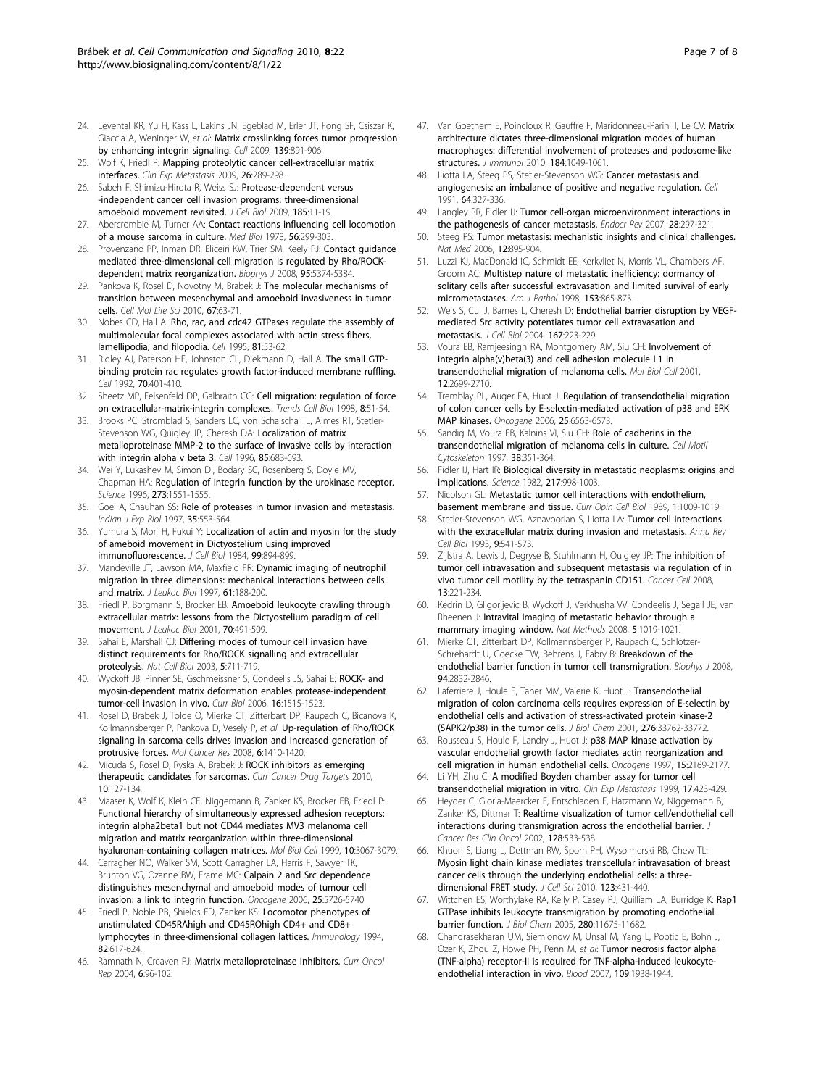- <span id="page-6-0"></span>24. Levental KR, Yu H, Kass L, Lakins JN, Egeblad M, Erler JT, Fong SF, Csiszar K, Giaccia A, Weninger W, et al: [Matrix crosslinking forces tumor progression](http://www.ncbi.nlm.nih.gov/pubmed/19931152?dopt=Abstract) [by enhancing integrin signaling.](http://www.ncbi.nlm.nih.gov/pubmed/19931152?dopt=Abstract) Cell 2009, 139:891-906.
- 25. Wolf K, Friedl P: [Mapping proteolytic cancer cell-extracellular matrix](http://www.ncbi.nlm.nih.gov/pubmed/18600304?dopt=Abstract) [interfaces.](http://www.ncbi.nlm.nih.gov/pubmed/18600304?dopt=Abstract) Clin Exp Metastasis 2009, 26:289-298.
- 26. Sabeh F, Shimizu-Hirota R, Weiss SJ: [Protease-dependent versus](http://www.ncbi.nlm.nih.gov/pubmed/19332889?dopt=Abstract) [-independent cancer cell invasion programs: three-dimensional](http://www.ncbi.nlm.nih.gov/pubmed/19332889?dopt=Abstract) [amoeboid movement revisited.](http://www.ncbi.nlm.nih.gov/pubmed/19332889?dopt=Abstract) J Cell Biol 2009, 185:11-19.
- Abercrombie M, Turner AA: [Contact reactions influencing cell locomotion](http://www.ncbi.nlm.nih.gov/pubmed/366289?dopt=Abstract) [of a mouse sarcoma in culture.](http://www.ncbi.nlm.nih.gov/pubmed/366289?dopt=Abstract) Med Biol 1978, 56:299-303.
- 28. Provenzano PP, Inman DR, Eliceiri KW, Trier SM, Keely PJ: Contact quidance [mediated three-dimensional cell migration is regulated by Rho/ROCK](http://www.ncbi.nlm.nih.gov/pubmed/18775961?dopt=Abstract)[dependent matrix reorganization.](http://www.ncbi.nlm.nih.gov/pubmed/18775961?dopt=Abstract) Biophys J 2008, 95:5374-5384.
- 29. Pankova K, Rosel D, Novotny M, Brabek J: [The molecular mechanisms of](http://www.ncbi.nlm.nih.gov/pubmed/19707854?dopt=Abstract) [transition between mesenchymal and amoeboid invasiveness in tumor](http://www.ncbi.nlm.nih.gov/pubmed/19707854?dopt=Abstract) [cells.](http://www.ncbi.nlm.nih.gov/pubmed/19707854?dopt=Abstract) Cell Mol Life Sci 2010, 67:63-71.
- 30. Nobes CD, Hall A: [Rho, rac, and cdc42 GTPases regulate the assembly of](http://www.ncbi.nlm.nih.gov/pubmed/7536630?dopt=Abstract) [multimolecular focal complexes associated with actin stress fibers,](http://www.ncbi.nlm.nih.gov/pubmed/7536630?dopt=Abstract) [lamellipodia, and filopodia.](http://www.ncbi.nlm.nih.gov/pubmed/7536630?dopt=Abstract) Cell 1995, 81:53-62.
- 31. Ridley AJ, Paterson HF, Johnston CL, Diekmann D, Hall A: [The small GTP](http://www.ncbi.nlm.nih.gov/pubmed/1643658?dopt=Abstract)[binding protein rac regulates growth factor-induced membrane ruffling.](http://www.ncbi.nlm.nih.gov/pubmed/1643658?dopt=Abstract) Cell 1992, 70:401-410.
- 32. Sheetz MP, Felsenfeld DP, Galbraith CG: [Cell migration: regulation of force](http://www.ncbi.nlm.nih.gov/pubmed/9695809?dopt=Abstract) [on extracellular-matrix-integrin complexes.](http://www.ncbi.nlm.nih.gov/pubmed/9695809?dopt=Abstract) Trends Cell Biol 1998, 8:51-54.
- 33. Brooks PC, Stromblad S, Sanders LC, von Schalscha TL, Aimes RT, Stetler-Stevenson WG, Quigley JP, Cheresh DA: [Localization of matrix](http://www.ncbi.nlm.nih.gov/pubmed/8646777?dopt=Abstract) [metalloproteinase MMP-2 to the surface of invasive cells by interaction](http://www.ncbi.nlm.nih.gov/pubmed/8646777?dopt=Abstract) [with integrin alpha v beta 3.](http://www.ncbi.nlm.nih.gov/pubmed/8646777?dopt=Abstract) Cell 1996, 85:683-693.
- 34. Wei Y, Lukashev M, Simon DI, Bodary SC, Rosenberg S, Doyle MV, Chapman HA: [Regulation of integrin function by the urokinase receptor.](http://www.ncbi.nlm.nih.gov/pubmed/8703217?dopt=Abstract) Science 1996, 273:1551-1555.
- 35. Goel A, Chauhan SS: [Role of proteases in tumor invasion and metastasis.](http://www.ncbi.nlm.nih.gov/pubmed/9357157?dopt=Abstract) Indian J Exp Biol 1997, 35:553-564.
- 36. Yumura S, Mori H, Fukui Y: [Localization of actin and myosin for the study](http://www.ncbi.nlm.nih.gov/pubmed/6381508?dopt=Abstract) [of ameboid movement in Dictyostelium using improved](http://www.ncbi.nlm.nih.gov/pubmed/6381508?dopt=Abstract) [immunofluorescence.](http://www.ncbi.nlm.nih.gov/pubmed/6381508?dopt=Abstract) J Cell Biol 1984, 99:894-899.
- 37. Mandeville JT, Lawson MA, Maxfield FR: [Dynamic imaging of neutrophil](http://www.ncbi.nlm.nih.gov/pubmed/9021925?dopt=Abstract) [migration in three dimensions: mechanical interactions between cells](http://www.ncbi.nlm.nih.gov/pubmed/9021925?dopt=Abstract) [and matrix.](http://www.ncbi.nlm.nih.gov/pubmed/9021925?dopt=Abstract) *J Leukoc Biol* 1997, 61:188-200.
- 38. Friedl P, Borgmann S, Brocker EB: [Amoeboid leukocyte crawling through](http://www.ncbi.nlm.nih.gov/pubmed/11590185?dopt=Abstract) [extracellular matrix: lessons from the Dictyostelium paradigm of cell](http://www.ncbi.nlm.nih.gov/pubmed/11590185?dopt=Abstract) [movement.](http://www.ncbi.nlm.nih.gov/pubmed/11590185?dopt=Abstract) J Leukoc Biol 2001, 70:491-509.
- 39. Sahai E, Marshall CJ: [Differing modes of tumour cell invasion have](http://www.ncbi.nlm.nih.gov/pubmed/12844144?dopt=Abstract) [distinct requirements for Rho/ROCK signalling and extracellular](http://www.ncbi.nlm.nih.gov/pubmed/12844144?dopt=Abstract) [proteolysis.](http://www.ncbi.nlm.nih.gov/pubmed/12844144?dopt=Abstract) Nat Cell Biol 2003, 5:711-719.
- 40. Wyckoff JB, Pinner SE, Gschmeissner S, Condeelis JS, Sahai E: [ROCK- and](http://www.ncbi.nlm.nih.gov/pubmed/16890527?dopt=Abstract) [myosin-dependent matrix deformation enables protease-independent](http://www.ncbi.nlm.nih.gov/pubmed/16890527?dopt=Abstract) [tumor-cell invasion in vivo.](http://www.ncbi.nlm.nih.gov/pubmed/16890527?dopt=Abstract) Curr Biol 2006, 16:1515-1523.
- 41. Rosel D, Brabek J, Tolde O, Mierke CT, Zitterbart DP, Raupach C, Bicanova K, Kollmannsberger P, Pankova D, Vesely P, et al: [Up-regulation of Rho/ROCK](http://www.ncbi.nlm.nih.gov/pubmed/18819929?dopt=Abstract) [signaling in sarcoma cells drives invasion and increased generation of](http://www.ncbi.nlm.nih.gov/pubmed/18819929?dopt=Abstract) [protrusive forces.](http://www.ncbi.nlm.nih.gov/pubmed/18819929?dopt=Abstract) Mol Cancer Res 2008, 6:1410-1420.
- 42. Micuda S, Rosel D, Ryska A, Brabek J: [ROCK inhibitors as emerging](http://www.ncbi.nlm.nih.gov/pubmed/20088801?dopt=Abstract) [therapeutic candidates for sarcomas.](http://www.ncbi.nlm.nih.gov/pubmed/20088801?dopt=Abstract) Curr Cancer Drug Targets 2010, 10:127-134.
- 43. Maaser K, Wolf K, Klein CE, Niggemann B, Zanker KS, Brocker EB, Friedl P: [Functional hierarchy of simultaneously expressed adhesion receptors:](http://www.ncbi.nlm.nih.gov/pubmed/10512851?dopt=Abstract) [integrin alpha2beta1 but not CD44 mediates MV3 melanoma cell](http://www.ncbi.nlm.nih.gov/pubmed/10512851?dopt=Abstract) [migration and matrix reorganization within three-dimensional](http://www.ncbi.nlm.nih.gov/pubmed/10512851?dopt=Abstract) [hyaluronan-containing collagen matrices.](http://www.ncbi.nlm.nih.gov/pubmed/10512851?dopt=Abstract) Mol Biol Cell 1999, 10:3067-3079.
- Carragher NO, Walker SM, Scott Carragher LA, Harris F, Sawyer TK, Brunton VG, Ozanne BW, Frame MC: [Calpain 2 and Src dependence](http://www.ncbi.nlm.nih.gov/pubmed/16652152?dopt=Abstract) [distinguishes mesenchymal and amoeboid modes of tumour cell](http://www.ncbi.nlm.nih.gov/pubmed/16652152?dopt=Abstract) [invasion: a link to integrin function.](http://www.ncbi.nlm.nih.gov/pubmed/16652152?dopt=Abstract) Oncogene 2006, 25:5726-5740.
- 45. Friedl P, Noble PB, Shields ED, Zanker KS: [Locomotor phenotypes of](http://www.ncbi.nlm.nih.gov/pubmed/7835926?dopt=Abstract) [unstimulated CD45RAhigh and CD45ROhigh CD4+ and CD8+](http://www.ncbi.nlm.nih.gov/pubmed/7835926?dopt=Abstract) [lymphocytes in three-dimensional collagen lattices.](http://www.ncbi.nlm.nih.gov/pubmed/7835926?dopt=Abstract) Immunology 1994, 82:617-624.
- 46. Ramnath N, Creaven PJ: [Matrix metalloproteinase inhibitors.](http://www.ncbi.nlm.nih.gov/pubmed/14751086?dopt=Abstract) Curr Oncol Rep 2004, 6:96-102.
- 47. Van Goethem E, Poincloux R, Gauffre F, Maridonneau-Parini I, Le CV: [Matrix](http://www.ncbi.nlm.nih.gov/pubmed/20018633?dopt=Abstract) [architecture dictates three-dimensional migration modes of human](http://www.ncbi.nlm.nih.gov/pubmed/20018633?dopt=Abstract) [macrophages: differential involvement of proteases and podosome-like](http://www.ncbi.nlm.nih.gov/pubmed/20018633?dopt=Abstract) [structures.](http://www.ncbi.nlm.nih.gov/pubmed/20018633?dopt=Abstract) J Immunol 2010, 184:1049-1061.
- 48. Liotta LA, Steeg PS, Stetler-Stevenson WG: [Cancer metastasis and](http://www.ncbi.nlm.nih.gov/pubmed/1703045?dopt=Abstract) [angiogenesis: an imbalance of positive and negative regulation.](http://www.ncbi.nlm.nih.gov/pubmed/1703045?dopt=Abstract) Cell 1991, 64:327-336.
- 49. Langley RR, Fidler IJ: [Tumor cell-organ microenvironment interactions in](http://www.ncbi.nlm.nih.gov/pubmed/17409287?dopt=Abstract) [the pathogenesis of cancer metastasis.](http://www.ncbi.nlm.nih.gov/pubmed/17409287?dopt=Abstract) Endocr Rev 2007, 28:297-321.
- 50. Steeg PS: [Tumor metastasis: mechanistic insights and clinical challenges.](http://www.ncbi.nlm.nih.gov/pubmed/16892035?dopt=Abstract) Nat Med 2006, 12:895-904.
- 51. Luzzi KJ, MacDonald IC, Schmidt EE, Kerkvliet N, Morris VL, Chambers AF, Groom AC: [Multistep nature of metastatic inefficiency: dormancy of](http://www.ncbi.nlm.nih.gov/pubmed/9736035?dopt=Abstract) [solitary cells after successful extravasation and limited survival of early](http://www.ncbi.nlm.nih.gov/pubmed/9736035?dopt=Abstract) [micrometastases.](http://www.ncbi.nlm.nih.gov/pubmed/9736035?dopt=Abstract) Am J Pathol 1998, 153:865-873.
- 52. Weis S, Cui J, Barnes L, Cheresh D: [Endothelial barrier disruption by VEGF](http://www.ncbi.nlm.nih.gov/pubmed/15504909?dopt=Abstract)[mediated Src activity potentiates tumor cell extravasation and](http://www.ncbi.nlm.nih.gov/pubmed/15504909?dopt=Abstract) [metastasis.](http://www.ncbi.nlm.nih.gov/pubmed/15504909?dopt=Abstract) J Cell Biol 2004, 167:223-229.
- Voura EB, Ramjeesingh RA, Montgomery AM, Siu CH: [Involvement of](http://www.ncbi.nlm.nih.gov/pubmed/11553709?dopt=Abstract) [integrin alpha\(v\)beta\(3\) and cell adhesion molecule L1 in](http://www.ncbi.nlm.nih.gov/pubmed/11553709?dopt=Abstract) [transendothelial migration of melanoma cells.](http://www.ncbi.nlm.nih.gov/pubmed/11553709?dopt=Abstract) Mol Biol Cell 2001, 12:2699-2710.
- 54. Tremblay PL, Auger FA, Huot J: [Regulation of transendothelial migration](http://www.ncbi.nlm.nih.gov/pubmed/16715142?dopt=Abstract) [of colon cancer cells by E-selectin-mediated activation of p38 and ERK](http://www.ncbi.nlm.nih.gov/pubmed/16715142?dopt=Abstract) [MAP kinases.](http://www.ncbi.nlm.nih.gov/pubmed/16715142?dopt=Abstract) Oncogene 2006, 25:6563-6573.
- Sandig M, Voura EB, Kalnins VI, Siu CH: [Role of cadherins in the](http://www.ncbi.nlm.nih.gov/pubmed/9415377?dopt=Abstract) [transendothelial migration of melanoma cells in culture.](http://www.ncbi.nlm.nih.gov/pubmed/9415377?dopt=Abstract) Cell Motil Cytoskeleton 1997, 38:351-364.
- 56. Fidler IJ, Hart IR: [Biological diversity in metastatic neoplasms: origins and](http://www.ncbi.nlm.nih.gov/pubmed/7112116?dopt=Abstract) [implications.](http://www.ncbi.nlm.nih.gov/pubmed/7112116?dopt=Abstract) Science 1982, 217:998-1003.
- 57. Nicolson GL: [Metastatic tumor cell interactions with endothelium,](http://www.ncbi.nlm.nih.gov/pubmed/2697287?dopt=Abstract) [basement membrane and tissue.](http://www.ncbi.nlm.nih.gov/pubmed/2697287?dopt=Abstract) Curr Opin Cell Biol 1989, 1:1009-1019.
- 58. Stetler-Stevenson WG, Aznavoorian S, Liotta LA: [Tumor cell interactions](http://www.ncbi.nlm.nih.gov/pubmed/8280471?dopt=Abstract) [with the extracellular matrix during invasion and metastasis.](http://www.ncbi.nlm.nih.gov/pubmed/8280471?dopt=Abstract) Annu Rev Cell Biol 1993, 9:541-573.
- 59. Zijlstra A, Lewis J, Degryse B, Stuhlmann H, Quigley JP: [The inhibition of](http://www.ncbi.nlm.nih.gov/pubmed/18328426?dopt=Abstract) [tumor cell intravasation and subsequent metastasis via regulation of in](http://www.ncbi.nlm.nih.gov/pubmed/18328426?dopt=Abstract) [vivo tumor cell motility by the tetraspanin CD151.](http://www.ncbi.nlm.nih.gov/pubmed/18328426?dopt=Abstract) Cancer Cell 2008, 13:221-234.
- 60. Kedrin D, Gligorijevic B, Wyckoff J, Verkhusha VV, Condeelis J, Segall JE, van Rheenen J: [Intravital imaging of metastatic behavior through a](http://www.ncbi.nlm.nih.gov/pubmed/18997781?dopt=Abstract) [mammary imaging window.](http://www.ncbi.nlm.nih.gov/pubmed/18997781?dopt=Abstract) Nat Methods 2008, 5:1019-1021.
- 61. Mierke CT, Zitterbart DP, Kollmannsberger P, Raupach C, Schlotzer-Schrehardt U, Goecke TW, Behrens J, Fabry B: [Breakdown of the](http://www.ncbi.nlm.nih.gov/pubmed/18096634?dopt=Abstract) [endothelial barrier function in tumor cell transmigration.](http://www.ncbi.nlm.nih.gov/pubmed/18096634?dopt=Abstract) Biophys J 2008, 94:2832-2846.
- 62. Laferriere J, Houle F, Taher MM, Valerie K, Huot J: [Transendothelial](http://www.ncbi.nlm.nih.gov/pubmed/11448946?dopt=Abstract) [migration of colon carcinoma cells requires expression of E-selectin by](http://www.ncbi.nlm.nih.gov/pubmed/11448946?dopt=Abstract) [endothelial cells and activation of stress-activated protein kinase-2](http://www.ncbi.nlm.nih.gov/pubmed/11448946?dopt=Abstract) [\(SAPK2/p38\) in the tumor cells.](http://www.ncbi.nlm.nih.gov/pubmed/11448946?dopt=Abstract) J Biol Chem 2001, 276:33762-33772.
- 63. Rousseau S, Houle F, Landry J, Huot J: [p38 MAP kinase activation by](http://www.ncbi.nlm.nih.gov/pubmed/9393975?dopt=Abstract) [vascular endothelial growth factor mediates actin reorganization and](http://www.ncbi.nlm.nih.gov/pubmed/9393975?dopt=Abstract) [cell migration in human endothelial cells.](http://www.ncbi.nlm.nih.gov/pubmed/9393975?dopt=Abstract) Oncogene 1997, 15:2169-2177.
- 64. Li YH, Zhu C: [A modified Boyden chamber assay for tumor cell](http://www.ncbi.nlm.nih.gov/pubmed/10651309?dopt=Abstract) [transendothelial migration in vitro.](http://www.ncbi.nlm.nih.gov/pubmed/10651309?dopt=Abstract) Clin Exp Metastasis 1999, 17:423-429.
- 65. Heyder C, Gloria-Maercker E, Entschladen F, Hatzmann W, Niggemann B, Zanker KS, Dittmar T: [Realtime visualization of tumor cell/endothelial cell](http://www.ncbi.nlm.nih.gov/pubmed/12384796?dopt=Abstract) [interactions during transmigration across the endothelial barrier.](http://www.ncbi.nlm.nih.gov/pubmed/12384796?dopt=Abstract) J Cancer Res Clin Oncol 2002, 128:533-538.
- 66. Khuon S, Liang L, Dettman RW, Sporn PH, Wysolmerski RB, Chew TL: [Myosin light chain kinase mediates transcellular intravasation of breast](http://www.ncbi.nlm.nih.gov/pubmed/20067998?dopt=Abstract) [cancer cells through the underlying endothelial cells: a three](http://www.ncbi.nlm.nih.gov/pubmed/20067998?dopt=Abstract)[dimensional FRET study.](http://www.ncbi.nlm.nih.gov/pubmed/20067998?dopt=Abstract) J Cell Sci 2010, 123:431-440.
- 67. Wittchen ES, Worthylake RA, Kelly P, Casey PJ, Quilliam LA, Burridge K: [Rap1](http://www.ncbi.nlm.nih.gov/pubmed/15661741?dopt=Abstract) [GTPase inhibits leukocyte transmigration by promoting endothelial](http://www.ncbi.nlm.nih.gov/pubmed/15661741?dopt=Abstract) [barrier function.](http://www.ncbi.nlm.nih.gov/pubmed/15661741?dopt=Abstract) J Biol Chem 2005, 280:11675-11682.
- 68. Chandrasekharan UM, Siemionow M, Unsal M, Yang L, Poptic E, Bohn J, Ozer K, Zhou Z, Howe PH, Penn M, et al: [Tumor necrosis factor alpha](http://www.ncbi.nlm.nih.gov/pubmed/17068152?dopt=Abstract) [\(TNF-alpha\) receptor-II is required for TNF-alpha-induced leukocyte](http://www.ncbi.nlm.nih.gov/pubmed/17068152?dopt=Abstract)[endothelial interaction in vivo.](http://www.ncbi.nlm.nih.gov/pubmed/17068152?dopt=Abstract) Blood 2007, 109:1938-1944.